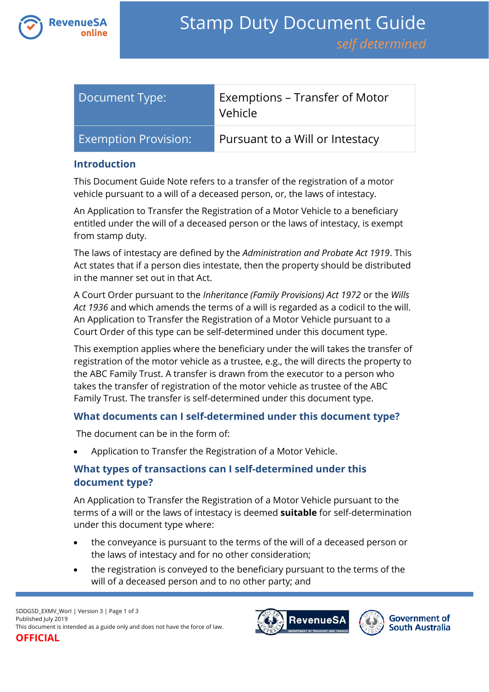

| Document Type:              | Exemptions – Transfer of Motor<br>Vehicle |
|-----------------------------|-------------------------------------------|
| <b>Exemption Provision:</b> | Pursuant to a Will or Intestacy           |

#### **Introduction**

This Document Guide Note refers to a transfer of the registration of a motor vehicle pursuant to a will of a deceased person, or, the laws of intestacy.

An Application to Transfer the Registration of a Motor Vehicle to a beneficiary entitled under the will of a deceased person or the laws of intestacy, is exempt from stamp duty.

The laws of intestacy are defined by the *Administration and Probate Act 1919*. This Act states that if a person dies intestate, then the property should be distributed in the manner set out in that Act.

A Court Order pursuant to the *Inheritance (Family Provisions) Act 1972* or the *Wills Act 1936* and which amends the terms of a will is regarded as a codicil to the will. An Application to Transfer the Registration of a Motor Vehicle pursuant to a Court Order of this type can be self-determined under this document type.

This exemption applies where the beneficiary under the will takes the transfer of registration of the motor vehicle as a trustee, e.g., the will directs the property to the ABC Family Trust. A transfer is drawn from the executor to a person who takes the transfer of registration of the motor vehicle as trustee of the ABC Family Trust. The transfer is self-determined under this document type.

## **What documents can I self-determined under this document type?**

The document can be in the form of:

Application to Transfer the Registration of a Motor Vehicle.

# **What types of transactions can I self-determined under this document type?**

An Application to Transfer the Registration of a Motor Vehicle pursuant to the terms of a will or the laws of intestacy is deemed **suitable** for self-determination under this document type where:

- the conveyance is pursuant to the terms of the will of a deceased person or the laws of intestacy and for no other consideration;
- the registration is conveyed to the beneficiary pursuant to the terms of the will of a deceased person and to no other party; and



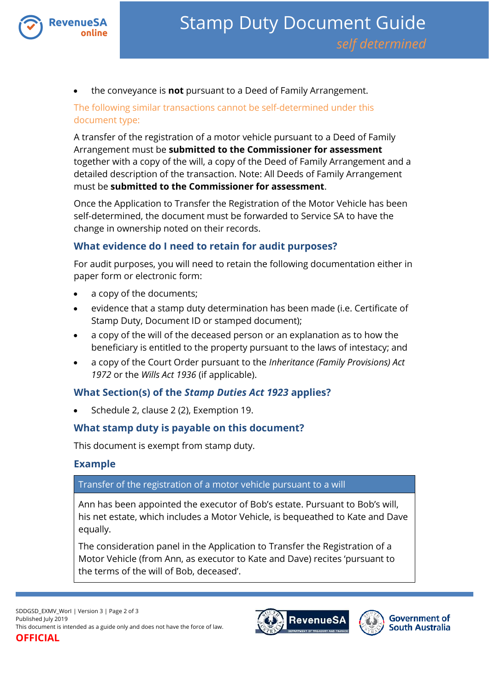

the conveyance is **not** pursuant to a Deed of Family Arrangement.

The following similar transactions cannot be self-determined under this document type:

A transfer of the registration of a motor vehicle pursuant to a Deed of Family Arrangement must be **submitted to the Commissioner for assessment** together with a copy of the will, a copy of the Deed of Family Arrangement and a detailed description of the transaction. Note: All Deeds of Family Arrangement must be **submitted to the Commissioner for assessment**.

Once the Application to Transfer the Registration of the Motor Vehicle has been self-determined, the document must be forwarded to Service SA to have the change in ownership noted on their records.

### **What evidence do I need to retain for audit purposes?**

For audit purposes, you will need to retain the following documentation either in paper form or electronic form:

- a copy of the documents;
- evidence that a stamp duty determination has been made (i.e. Certificate of Stamp Duty, Document ID or stamped document);
- a copy of the will of the deceased person or an explanation as to how the beneficiary is entitled to the property pursuant to the laws of intestacy; and
- a copy of the Court Order pursuant to the *Inheritance (Family Provisions) Act 1972* or the *Wills Act 1936* (if applicable).

#### **What Section(s) of the** *Stamp Duties Act 1923* **applies?**

Schedule 2, clause 2 (2), Exemption 19.

#### **What stamp duty is payable on this document?**

This document is exempt from stamp duty.

#### **Example**

#### Transfer of the registration of a motor vehicle pursuant to a will

Ann has been appointed the executor of Bob's estate. Pursuant to Bob's will, his net estate, which includes a Motor Vehicle, is bequeathed to Kate and Dave equally.

The consideration panel in the Application to Transfer the Registration of a Motor Vehicle (from Ann, as executor to Kate and Dave) recites 'pursuant to the terms of the will of Bob, deceased'.